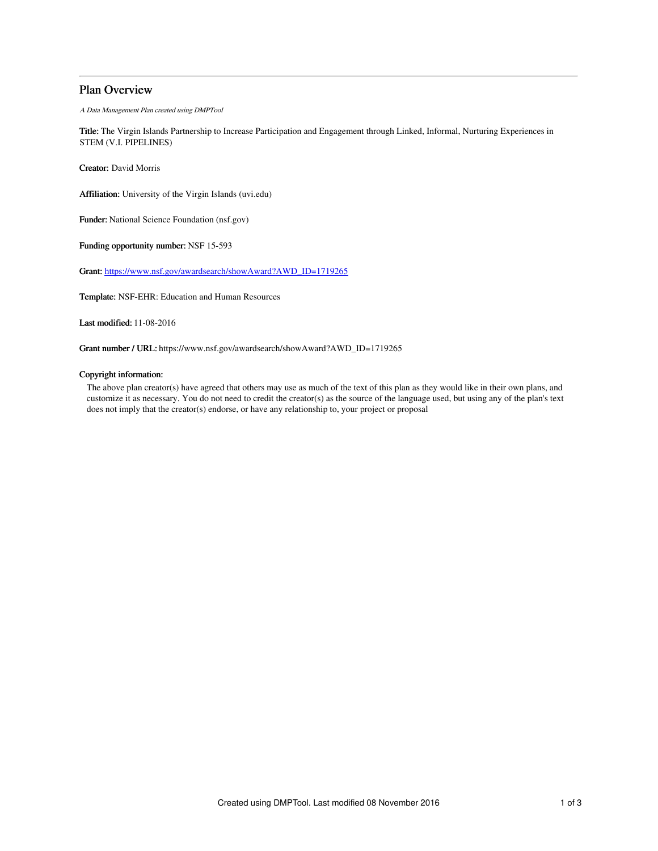# Plan Overview

A Data Management Plan created using DMPTool

Title: The Virgin Islands Partnership to Increase Participation and Engagement through Linked, Informal, Nurturing Experiences in STEM (V.I. PIPELINES)

Creator: David Morris

Affiliation: University of the Virgin Islands (uvi.edu)

Funder: National Science Foundation (nsf.gov)

Funding opportunity number: NSF 15-593

Grant: [https://www.nsf.gov/awardsearch/showAward?AWD\\_ID=1719265](https://www.nsf.gov/awardsearch/showAward?AWD_ID=1719265)

Template: NSF-EHR: Education and Human Resources

Last modified: 11-08-2016

Grant number / URL: https://www.nsf.gov/awardsearch/showAward?AWD\_ID=1719265

# Copyright information:

The above plan creator(s) have agreed that others may use as much of the text of this plan as they would like in their own plans, and customize it as necessary. You do not need to credit the creator(s) as the source of the language used, but using any of the plan's text does not imply that the creator(s) endorse, or have any relationship to, your project or proposal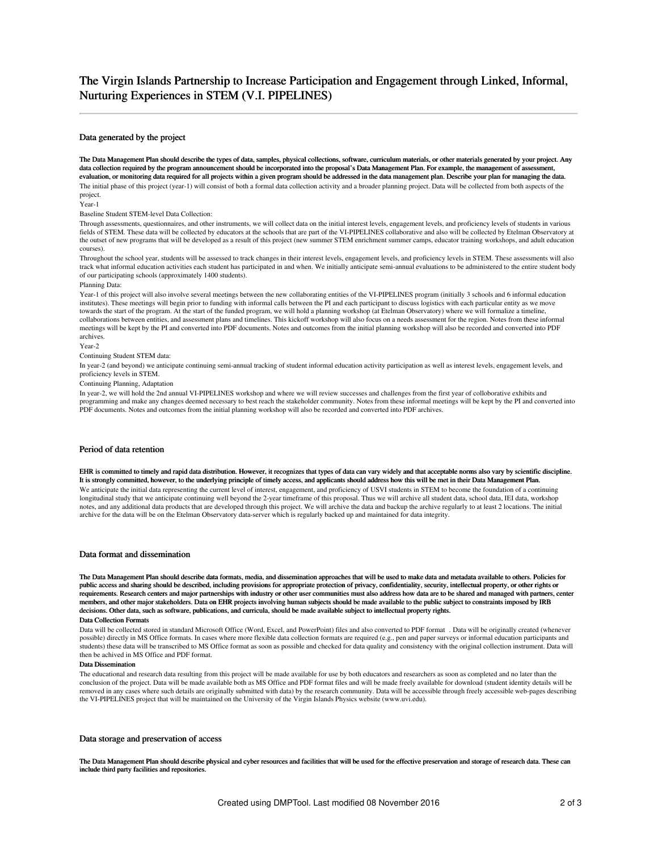# The Virgin Islands Partnership to Increase Participation and Engagement through Linked, Informal, Nurturing Experiences in STEM (V.I. PIPELINES)

### Data generated by the project

The Data Management Plan should describe the types of data, samples, physical collections, software, curriculum materials, or other materials generated by your project. Any data collection required by the program announcement should be incorporated into the proposal's Data Management Plan. For example, the management of assessment,<br>evaluation, or monitoring data required for all projects with The initial phase of this project (year-1) will consist of both a formal data collection activity and a broader planning project. Data will be collected from both aspects of the project.

Year-1

Baseline Student STEM-level Data Collection:

Through assessments, questionnaires, and other instruments, we will collect data on the initial interest levels, engagement levels, and proficiency levels of students in various fields of STEM. These data will be collected by educators at the schools that are part of the VI-PIPELINES collaborative and also will be collected by Etelman Observatory at the outset of new programs that will be developed as a result of this project (new summer STEM enrichment summer camps, educator training workshops, and adult education courses).

Throughout the school year, students will be assessed to track changes in their interest levels, engagement levels, and proficiency levels in STEM. These assessments will also track what informal education activities each student has participated in and when. We initially anticipate semi-annual evaluations to be administered to the entire student body of our participating schools (approximately 1400 students).

### Planning Data:

Year-1 of this project will also involve several meetings between the new collaborating entities of the VI-PIPELINES program (initially 3 schools and 6 informal education institutes). These meetings will begin prior to funding with informal calls between the PI and each participant to discuss logistics with each particular entity as we move towards the start of the program. At the start of the funded program, we will hold a planning workshop (at Etelman Observatory) where we will formalize a timeline, collaborations between entities, and assessment plans and timelines. This kickoff workshop will also focus on a needs assessment for the region. Notes from these informal meetings will be kept by the PI and converted into PDF documents. Notes and outcomes from the initial planning workshop will also be recorded and converted into PDF archives.

Year-2

### Continuing Student STEM data:

In year-2 (and beyond) we anticipate continuing semi-annual tracking of student informal education activity participation as well as interest levels, engagement levels, and proficiency levels in STEM.

Continuing Planning, Adaptation

In year-2, we will hold the 2nd annual VI-PIPELINES workshop and where we will review successes and challenges from the first year of colloborative exhibits and programming and make any changes deemed necessary to best reach the stakeholder community. Notes from these informal meetings will be kept by the PI and converted into PDF documents. Notes and outcomes from the initial planning workshop will also be recorded and converted into PDF archives.

## Period of data retention

EHR is committed to timely and rapid data distribution. However, it recognizes that types of data can vary widely and that acceptable norms also vary by scientific discipline. It is strongly committed, however, to the underlying principle of timely access, and applicants should address how this will be met in their Data Management Plan.

We anticipate the initial data representing the current level of interest, engagement, and proficiency of USVI students in STEM to become the foundation of a continuing longitudinal study that we anticipate continuing well beyond the 2-year timeframe of this proposal. Thus we will archive all student data, school data, IEI data, workshop notes, and any additional data products that are developed through this project. We will archive the data and backup the archive regularly to at least 2 locations. The initial archive for the data will be on the Etelman Observatory data-server which is regularly backed up and maintained for data integrity.

# Data format and dissemination

The Data Management Plan should describe data formats, media, and dissemination approaches that will be used to make data and metadata available to others. Policies for public access and sharing should be described, including provisions for appropriate protection of privacy, confidentiality, security, intellectual property, or other rights or requirements. Research centers and major partnerships with industry or other user communities must also address how data are to be shared and managed with partners, center members, and other major stakeholders. Data on EHR projects involving human subjects should be made available to the public subject to constraints imposed by IRB decisions. Other data, such as software, publications, and curricula, should be made available subject to intellectual property rights. Data Collection Formats

Data will be collected stored in standard Microsoft Office (Word, Excel, and PowerPoint) files and also converted to PDF format . Data will be originally created (whenever possible) directly in MS Office formats. In cases where more flexible data collection formats are required (e.g., pen and paper surveys or informal education participants and students) these data will be transcribed to MS Office format as soon as possible and checked for data quality and consistency with the original collection instrument. Data will then be achived in MS Office and PDF format.

### Data Dissemination

The educational and research data resulting from this project will be made available for use by both educators and researchers as soon as completed and no later than the conclusion of the project. Data will be made available both as MS Office and PDF format files and will be made freely available for download (student identity details will be removed in any cases where such details are originally submitted with data) by the research community. Data will be accessible through freely accessible web-pages describing the VI-PIPELINES project that will be maintained on the University of the Virgin Islands Physics website (www.uvi.edu).

# Data storage and preservation of access

The Data Management Plan should describe physical and cyber resources and facilities that will be used for the effective preservation and storage of research data. These can include third party facilities and repositories.